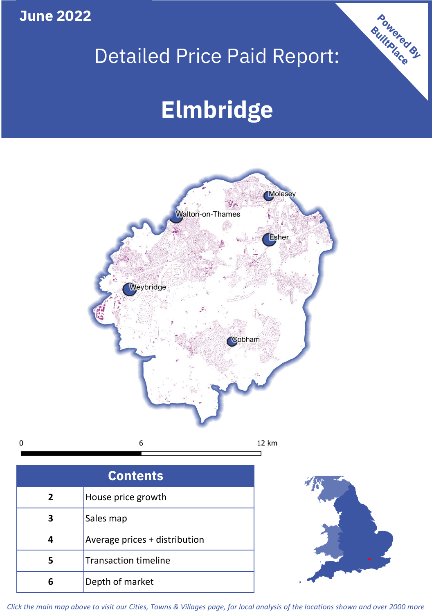**June 2022**

 $\mathbf 0$ 

## Detailed Price Paid Report:

# **Elmbridge**



| <b>Contents</b> |                               |  |  |
|-----------------|-------------------------------|--|--|
| $\overline{2}$  | House price growth            |  |  |
| 3               | Sales map                     |  |  |
|                 | Average prices + distribution |  |  |
| 5               | <b>Transaction timeline</b>   |  |  |
| 6               | Depth of market               |  |  |



Powered By

*Click the main map above to visit our Cities, Towns & Villages page, for local analysis of the locations shown and over 2000 more*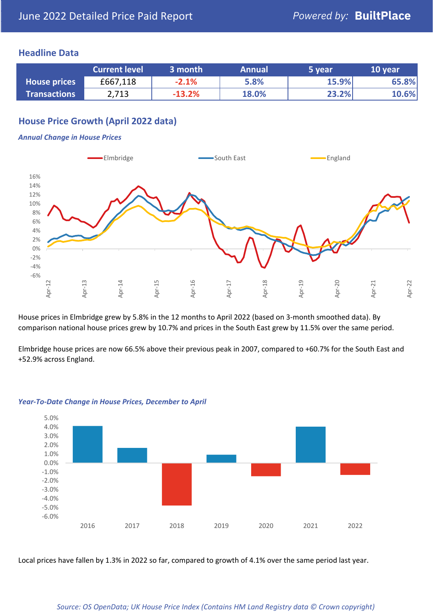#### **Headline Data**

|                     | <b>Current level</b> | 3 month  | <b>Annual</b> | 5 year | 10 year |
|---------------------|----------------------|----------|---------------|--------|---------|
| <b>House prices</b> | £667,118             | $-2.1%$  | 5.8%          | 15.9%  | 65.8%   |
| <b>Transactions</b> | 2,713                | $-13.2%$ | 18.0%         | 23.2%  | 10.6%   |

#### **House Price Growth (April 2022 data)**

#### *Annual Change in House Prices*



House prices in Elmbridge grew by 5.8% in the 12 months to April 2022 (based on 3-month smoothed data). By comparison national house prices grew by 10.7% and prices in the South East grew by 11.5% over the same period.

Elmbridge house prices are now 66.5% above their previous peak in 2007, compared to +60.7% for the South East and +52.9% across England.



#### *Year-To-Date Change in House Prices, December to April*

Local prices have fallen by 1.3% in 2022 so far, compared to growth of 4.1% over the same period last year.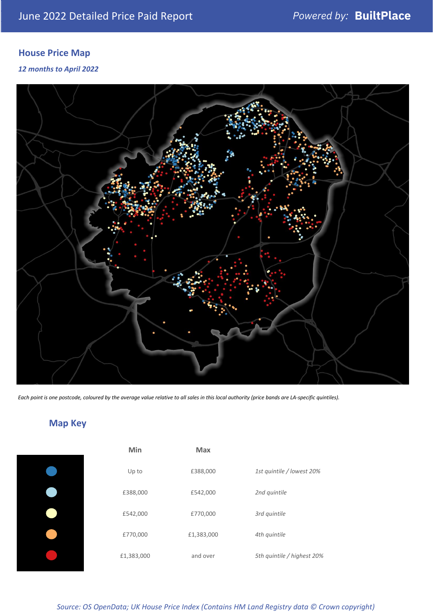### **House Price Map**

*12 months to April 2022*



*Each point is one postcode, coloured by the average value relative to all sales in this local authority (price bands are LA-specific quintiles).*

### **Map Key**

| Min        | Max        |              |
|------------|------------|--------------|
| Up to      | £388,000   | 1st quintile |
| £388,000   | £542,000   | 2nd quintile |
| £542,000   | £770,000   | 3rd quintile |
| £770,000   | £1,383,000 | 4th quintile |
| £1,383,000 | and over   | 5th quintile |
|            |            |              |

| Min        | <b>Max</b> |                            |
|------------|------------|----------------------------|
| Up to      | £388,000   | 1st quintile / lowest 20%  |
| £388,000   | £542,000   | 2nd quintile               |
| £542,000   | £770,000   | 3rd quintile               |
| £770,000   | £1,383,000 | 4th quintile               |
| £1,383,000 | and over   | 5th quintile / highest 20% |

*Source: OS OpenData; UK House Price Index (Contains HM Land Registry data © Crown copyright)*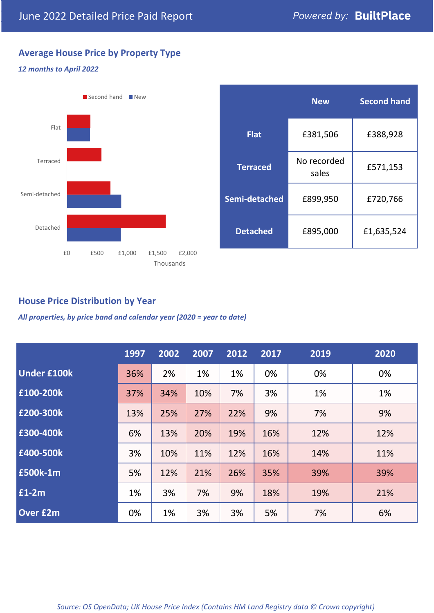#### **Average House Price by Property Type**

#### *12 months to April 2022*



|                 | <b>New</b>           | <b>Second hand</b> |  |  |
|-----------------|----------------------|--------------------|--|--|
| <b>Flat</b>     | £381,506             | £388,928           |  |  |
| <b>Terraced</b> | No recorded<br>sales | £571,153           |  |  |
| Semi-detached   | £899,950             | £720,766           |  |  |
| <b>Detached</b> | £895,000             | £1,635,524         |  |  |

#### **House Price Distribution by Year**

*All properties, by price band and calendar year (2020 = year to date)*

|                    | 1997 | 2002 | 2007 | 2012 | 2017 | 2019 | 2020 |
|--------------------|------|------|------|------|------|------|------|
| <b>Under £100k</b> | 36%  | 2%   | 1%   | 1%   | 0%   | 0%   | 0%   |
| £100-200k          | 37%  | 34%  | 10%  | 7%   | 3%   | 1%   | 1%   |
| E200-300k          | 13%  | 25%  | 27%  | 22%  | 9%   | 7%   | 9%   |
| £300-400k          | 6%   | 13%  | 20%  | 19%  | 16%  | 12%  | 12%  |
| £400-500k          | 3%   | 10%  | 11%  | 12%  | 16%  | 14%  | 11%  |
| <b>£500k-1m</b>    | 5%   | 12%  | 21%  | 26%  | 35%  | 39%  | 39%  |
| £1-2m              | 1%   | 3%   | 7%   | 9%   | 18%  | 19%  | 21%  |
| <b>Over £2m</b>    | 0%   | 1%   | 3%   | 3%   | 5%   | 7%   | 6%   |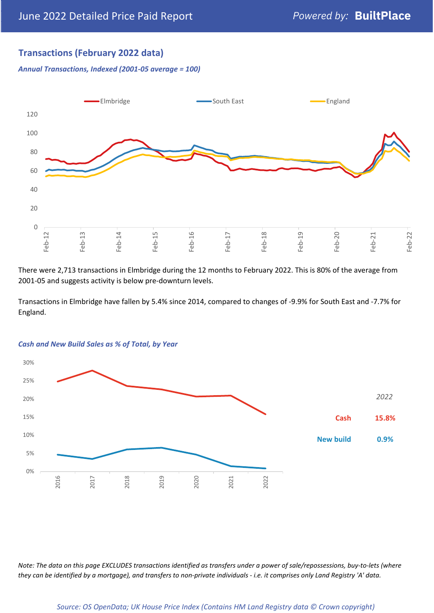#### **Transactions (February 2022 data)**

*Annual Transactions, Indexed (2001-05 average = 100)*



There were 2,713 transactions in Elmbridge during the 12 months to February 2022. This is 80% of the average from 2001-05 and suggests activity is below pre-downturn levels.

Transactions in Elmbridge have fallen by 5.4% since 2014, compared to changes of -9.9% for South East and -7.7% for England.



#### *Cash and New Build Sales as % of Total, by Year*

*Note: The data on this page EXCLUDES transactions identified as transfers under a power of sale/repossessions, buy-to-lets (where they can be identified by a mortgage), and transfers to non-private individuals - i.e. it comprises only Land Registry 'A' data.*